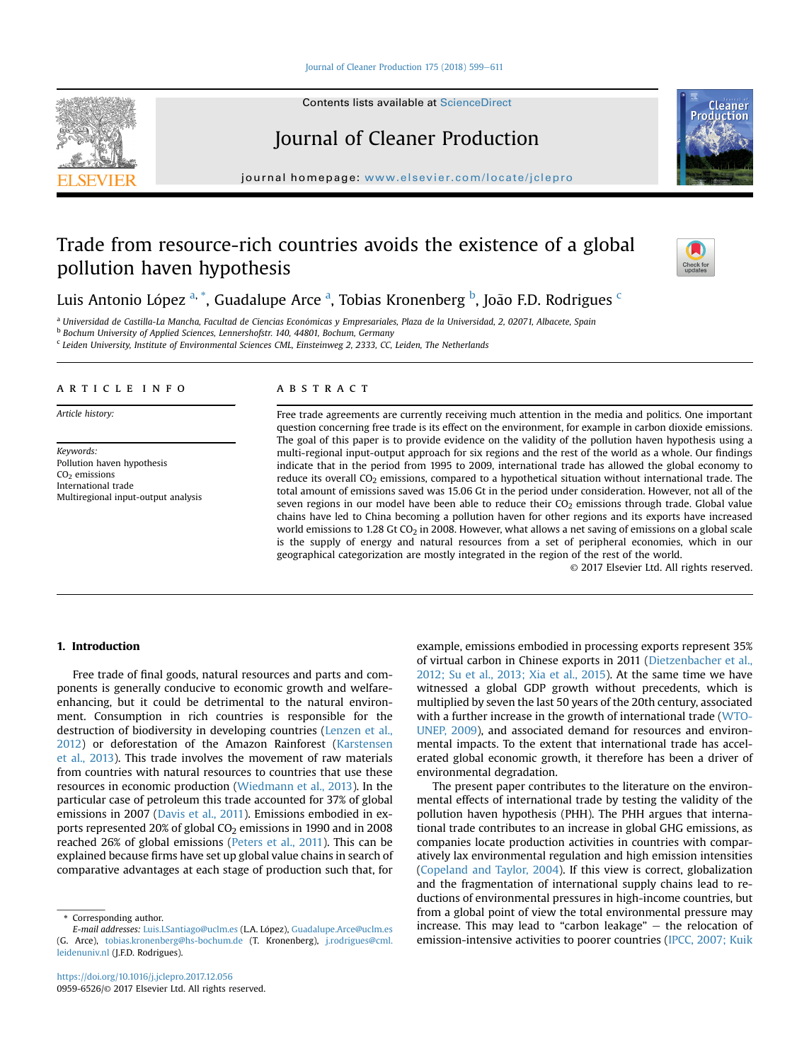#### [Journal of Cleaner Production 175 \(2018\) 599](https://doi.org/10.1016/j.jclepro.2017.12.056)-[611](https://doi.org/10.1016/j.jclepro.2017.12.056)

Contents lists available at ScienceDirect

# Journal of Cleaner Production

journal homepage: [www.elsevier.com/locate/jclepro](http://www.elsevier.com/locate/jclepro)

# Trade from resource-rich countries avoids the existence of a global pollution haven hypothesis



Productio

Luis Antonio López <sup>a, \*</sup>, Guadalupe Arce <sup>a</sup>, Tobias Kronenberg <sup>b</sup>, João F.D. Rodrigues <sup>c</sup>

<sup>a</sup> Universidad de Castilla-La Mancha, Facultad de Ciencias Económicas y Empresariales, Plaza de la Universidad, 2, 02071, Albacete, Spain

<sup>b</sup> Bochum University of Applied Sciences, Lennershofstr. 140, 44801, Bochum, Germany

<sup>c</sup> Leiden University, Institute of Environmental Sciences CML, Einsteinweg 2, 2333, CC, Leiden, The Netherlands

#### article info

Article history:

Keywords: Pollution haven hypothesis  $CO<sub>2</sub>$  emissions International trade Multiregional input-output analysis

## **ABSTRACT**

Free trade agreements are currently receiving much attention in the media and politics. One important question concerning free trade is its effect on the environment, for example in carbon dioxide emissions. The goal of this paper is to provide evidence on the validity of the pollution haven hypothesis using a multi-regional input-output approach for six regions and the rest of the world as a whole. Our findings indicate that in the period from 1995 to 2009, international trade has allowed the global economy to reduce its overall  $CO<sub>2</sub>$  emissions, compared to a hypothetical situation without international trade. The total amount of emissions saved was 15.06 Gt in the period under consideration. However, not all of the seven regions in our model have been able to reduce their  $CO<sub>2</sub>$  emissions through trade. Global value chains have led to China becoming a pollution haven for other regions and its exports have increased world emissions to 1.28 Gt CO<sub>2</sub> in 2008. However, what allows a net saving of emissions on a global scale is the supply of energy and natural resources from a set of peripheral economies, which in our geographical categorization are mostly integrated in the region of the rest of the world.

© 2017 Elsevier Ltd. All rights reserved.

# 1. Introduction

Free trade of final goods, natural resources and parts and components is generally conducive to economic growth and welfareenhancing, but it could be detrimental to the natural environment. Consumption in rich countries is responsible for the destruction of biodiversity in developing countries (Lenzen et al., 2012) or deforestation of the Amazon Rainforest (Karstensen et al., 2013). This trade involves the movement of raw materials from countries with natural resources to countries that use these resources in economic production (Wiedmann et al., 2013). In the particular case of petroleum this trade accounted for 37% of global emissions in 2007 (Davis et al., 2011). Emissions embodied in exports represented 20% of global  $CO<sub>2</sub>$  emissions in 1990 and in 2008 reached 26% of global emissions (Peters et al., 2011). This can be explained because firms have set up global value chains in search of comparative advantages at each stage of production such that, for

example, emissions embodied in processing exports represent 35% of virtual carbon in Chinese exports in 2011 (Dietzenbacher et al., 2012; Su et al., 2013; Xia et al., 2015). At the same time we have witnessed a global GDP growth without precedents, which is multiplied by seven the last 50 years of the 20th century, associated with a further increase in the growth of international trade (WTO-UNEP, 2009), and associated demand for resources and environmental impacts. To the extent that international trade has accelerated global economic growth, it therefore has been a driver of environmental degradation.

The present paper contributes to the literature on the environmental effects of international trade by testing the validity of the pollution haven hypothesis (PHH). The PHH argues that international trade contributes to an increase in global GHG emissions, as companies locate production activities in countries with comparatively lax environmental regulation and high emission intensities (Copeland and Taylor, 2004). If this view is correct, globalization and the fragmentation of international supply chains lead to reductions of environmental pressures in high-income countries, but from a global point of view the total environmental pressure may increase. This may lead to "carbon leakage"  $-$  the relocation of emission-intensive activities to poorer countries (IPCC, 2007; Kuik



Corresponding author.

E-mail addresses: [Luis.LSantiago@uclm.es](mailto:Luis.LSantiago@uclm.es) (L.A. López), [Guadalupe.Arce@uclm.es](mailto:Guadalupe.Arce@uclm.es) (G. Arce), [tobias.kronenberg@hs-bochum.de](mailto:tobias.kronenberg@hs-bochum.de) (T. Kronenberg), [j.rodrigues@cml.](mailto:j.rodrigues@cml.leidenuniv.nl) [leidenuniv.nl](mailto:j.rodrigues@cml.leidenuniv.nl) (J.F.D. Rodrigues).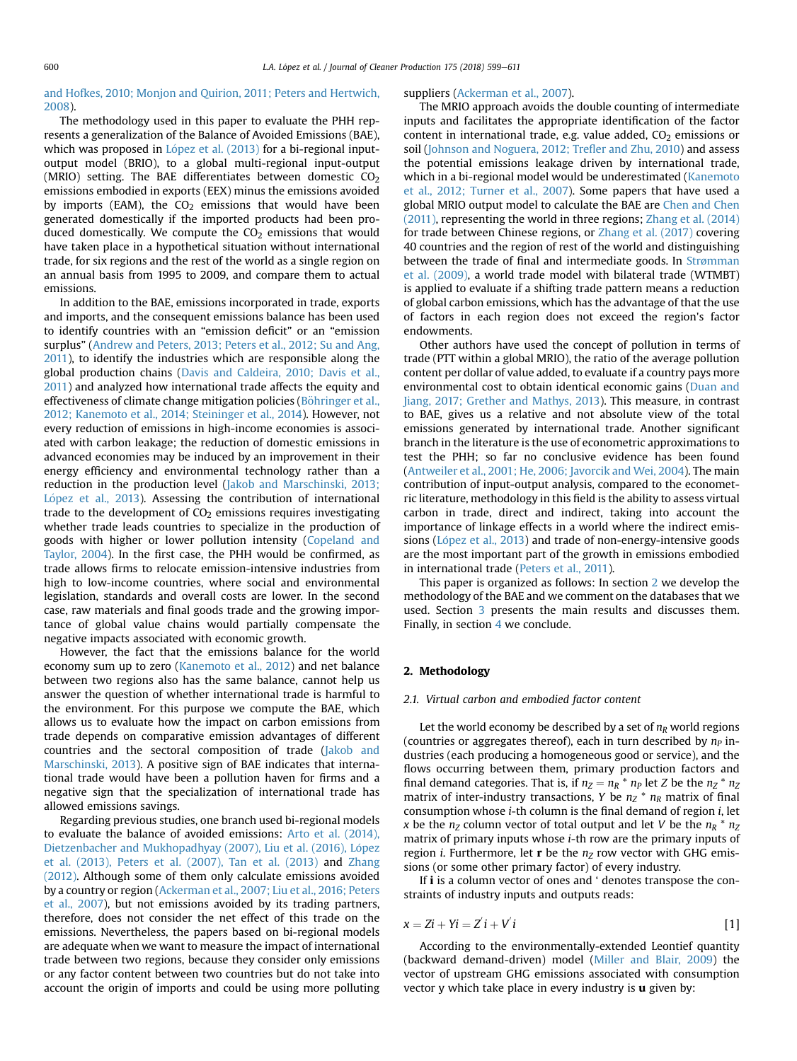# and Hofkes, 2010; Monjon and Quirion, 2011; Peters and Hertwich, 2008).

The methodology used in this paper to evaluate the PHH represents a generalization of the Balance of Avoided Emissions (BAE), which was proposed in López et al. (2013) for a bi-regional inputoutput model (BRIO), to a global multi-regional input-output (MRIO) setting. The BAE differentiates between domestic  $CO<sub>2</sub>$ emissions embodied in exports (EEX) minus the emissions avoided by imports (EAM), the  $CO<sub>2</sub>$  emissions that would have been generated domestically if the imported products had been produced domestically. We compute the  $CO<sub>2</sub>$  emissions that would have taken place in a hypothetical situation without international trade, for six regions and the rest of the world as a single region on an annual basis from 1995 to 2009, and compare them to actual emissions.

In addition to the BAE, emissions incorporated in trade, exports and imports, and the consequent emissions balance has been used to identify countries with an "emission deficit" or an "emission surplus" (Andrew and Peters, 2013; Peters et al., 2012; Su and Ang, 2011), to identify the industries which are responsible along the global production chains (Davis and Caldeira, 2010; Davis et al., 2011) and analyzed how international trade affects the equity and effectiveness of climate change mitigation policies (Böhringer et al., 2012; Kanemoto et al., 2014; Steininger et al., 2014). However, not every reduction of emissions in high-income economies is associated with carbon leakage; the reduction of domestic emissions in advanced economies may be induced by an improvement in their energy efficiency and environmental technology rather than a reduction in the production level (Jakob and Marschinski, 2013; López et al., 2013). Assessing the contribution of international trade to the development of  $CO<sub>2</sub>$  emissions requires investigating whether trade leads countries to specialize in the production of goods with higher or lower pollution intensity (Copeland and Taylor, 2004). In the first case, the PHH would be confirmed, as trade allows firms to relocate emission-intensive industries from high to low-income countries, where social and environmental legislation, standards and overall costs are lower. In the second case, raw materials and final goods trade and the growing importance of global value chains would partially compensate the negative impacts associated with economic growth.

However, the fact that the emissions balance for the world economy sum up to zero (Kanemoto et al., 2012) and net balance between two regions also has the same balance, cannot help us answer the question of whether international trade is harmful to the environment. For this purpose we compute the BAE, which allows us to evaluate how the impact on carbon emissions from trade depends on comparative emission advantages of different countries and the sectoral composition of trade (Jakob and Marschinski, 2013). A positive sign of BAE indicates that international trade would have been a pollution haven for firms and a negative sign that the specialization of international trade has allowed emissions savings.

Regarding previous studies, one branch used bi-regional models to evaluate the balance of avoided emissions: Arto et al. (2014), Dietzenbacher and Mukhopadhyay (2007), Liu et al. (2016), López et al. (2013), Peters et al. (2007), Tan et al. (2013) and Zhang (2012). Although some of them only calculate emissions avoided by a country or region (Ackerman et al., 2007; Liu et al., 2016; Peters et al., 2007), but not emissions avoided by its trading partners, therefore, does not consider the net effect of this trade on the emissions. Nevertheless, the papers based on bi-regional models are adequate when we want to measure the impact of international trade between two regions, because they consider only emissions or any factor content between two countries but do not take into account the origin of imports and could be using more polluting

#### suppliers (Ackerman et al., 2007).

The MRIO approach avoids the double counting of intermediate inputs and facilitates the appropriate identification of the factor content in international trade, e.g. value added,  $CO<sub>2</sub>$  emissions or soil (Johnson and Noguera, 2012; Trefler and Zhu, 2010) and assess the potential emissions leakage driven by international trade, which in a bi-regional model would be underestimated (Kanemoto et al., 2012; Turner et al., 2007). Some papers that have used a global MRIO output model to calculate the BAE are Chen and Chen (2011), representing the world in three regions; Zhang et al. (2014) for trade between Chinese regions, or Zhang et al. (2017) covering 40 countries and the region of rest of the world and distinguishing between the trade of final and intermediate goods. In Strømman et al. (2009), a world trade model with bilateral trade (WTMBT) is applied to evaluate if a shifting trade pattern means a reduction of global carbon emissions, which has the advantage of that the use of factors in each region does not exceed the region's factor endowments.

Other authors have used the concept of pollution in terms of trade (PTT within a global MRIO), the ratio of the average pollution content per dollar of value added, to evaluate if a country pays more environmental cost to obtain identical economic gains (Duan and Jiang, 2017; Grether and Mathys, 2013). This measure, in contrast to BAE, gives us a relative and not absolute view of the total emissions generated by international trade. Another significant branch in the literature is the use of econometric approximations to test the PHH; so far no conclusive evidence has been found (Antweiler et al., 2001; He, 2006; Javorcik and Wei, 2004). The main contribution of input-output analysis, compared to the econometric literature, methodology in this field is the ability to assess virtual carbon in trade, direct and indirect, taking into account the importance of linkage effects in a world where the indirect emissions (López et al., 2013) and trade of non-energy-intensive goods are the most important part of the growth in emissions embodied in international trade (Peters et al., 2011).

This paper is organized as follows: In section 2 we develop the methodology of the BAE and we comment on the databases that we used. Section 3 presents the main results and discusses them. Finally, in section 4 we conclude.

## 2. Methodology

### 2.1. Virtual carbon and embodied factor content

Let the world economy be described by a set of  $n_R$  world regions (countries or aggregates thereof), each in turn described by  $n_P$  industries (each producing a homogeneous good or service), and the flows occurring between them, primary production factors and final demand categories. That is, if  $n_Z = n_R * n_P$  let *Z* be the  $n_Z * n_Z$ matrix of inter-industry transactions, Y be  $n_Z * n_R$  matrix of final consumption whose i-th column is the final demand of region i, let x be the  $n<sub>Z</sub>$  column vector of total output and let V be the  $n<sub>R</sub> * n<sub>Z</sub>$ matrix of primary inputs whose i-th row are the primary inputs of region *i*. Furthermore, let **r** be the  $n<sub>Z</sub>$  row vector with GHG emissions (or some other primary factor) of every industry.

If *i* is a column vector of ones and ' denotes transpose the constraints of industry inputs and outputs reads:

$$
x = Zi + Yi = Z'i + V'i \tag{1}
$$

According to the environmentally-extended Leontief quantity (backward demand-driven) model (Miller and Blair, 2009) the vector of upstream GHG emissions associated with consumption vector y which take place in every industry is  $\mathbf u$  given by: